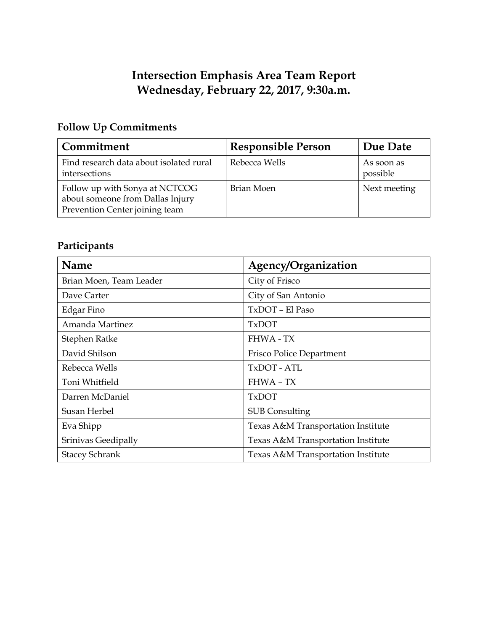## **Intersection Emphasis Area Team Report Wednesday, February 22, 2017, 9:30a.m.**

## **Follow Up Commitments**

| Commitment                                                                                           | <b>Responsible Person</b> | Due Date               |
|------------------------------------------------------------------------------------------------------|---------------------------|------------------------|
| Find research data about isolated rural<br>intersections                                             | Rebecca Wells             | As soon as<br>possible |
| Follow up with Sonya at NCTCOG<br>about someone from Dallas Injury<br>Prevention Center joining team | Brian Moen                | Next meeting           |

# **Participants**

| Name                    | Agency/Organization                |  |
|-------------------------|------------------------------------|--|
| Brian Moen, Team Leader | City of Frisco                     |  |
| Dave Carter             | City of San Antonio                |  |
| Edgar Fino              | TxDOT - El Paso                    |  |
| Amanda Martinez         | <b>TxDOT</b>                       |  |
| Stephen Ratke           | <b>FHWA - TX</b>                   |  |
| David Shilson           | Frisco Police Department           |  |
| Rebecca Wells           | TxDOT - ATL                        |  |
| Toni Whitfield          | <b>FHWA - TX</b>                   |  |
| Darren McDaniel         | <b>TxDOT</b>                       |  |
| Susan Herbel            | <b>SUB Consulting</b>              |  |
| Eva Shipp               | Texas A&M Transportation Institute |  |
| Srinivas Geedipally     | Texas A&M Transportation Institute |  |
| <b>Stacey Schrank</b>   | Texas A&M Transportation Institute |  |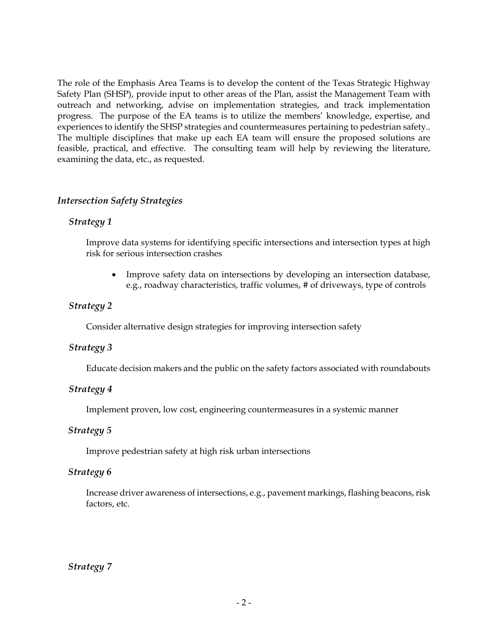The role of the Emphasis Area Teams is to develop the content of the Texas Strategic Highway Safety Plan (SHSP), provide input to other areas of the Plan, assist the Management Team with outreach and networking, advise on implementation strategies, and track implementation progress. The purpose of the EA teams is to utilize the members' knowledge, expertise, and experiences to identify the SHSP strategies and countermeasures pertaining to pedestrian safety.. The multiple disciplines that make up each EA team will ensure the proposed solutions are feasible, practical, and effective. The consulting team will help by reviewing the literature, examining the data, etc., as requested.

#### *Intersection Safety Strategies*

## *Strategy 1*

Improve data systems for identifying specific intersections and intersection types at high risk for serious intersection crashes

• Improve safety data on intersections by developing an intersection database, e.g., roadway characteristics, traffic volumes, # of driveways, type of controls

## *Strategy 2*

Consider alternative design strategies for improving intersection safety

## *Strategy 3*

Educate decision makers and the public on the safety factors associated with roundabouts

## *Strategy 4*

Implement proven, low cost, engineering countermeasures in a systemic manner

## *Strategy 5*

Improve pedestrian safety at high risk urban intersections

## *Strategy 6*

Increase driver awareness of intersections, e.g., pavement markings, flashing beacons, risk factors, etc.

## *Strategy 7*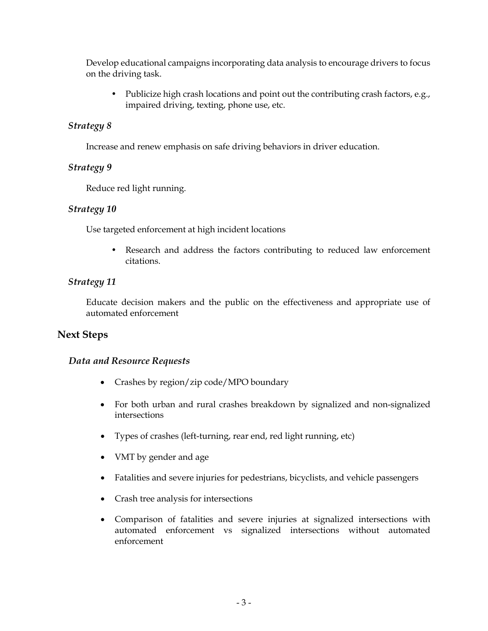Develop educational campaigns incorporating data analysis to encourage drivers to focus on the driving task.

• Publicize high crash locations and point out the contributing crash factors, e.g., impaired driving, texting, phone use, etc.

## *Strategy 8*

Increase and renew emphasis on safe driving behaviors in driver education.

## *Strategy 9*

Reduce red light running.

## *Strategy 10*

Use targeted enforcement at high incident locations

• Research and address the factors contributing to reduced law enforcement citations.

## *Strategy 11*

Educate decision makers and the public on the effectiveness and appropriate use of automated enforcement

## **Next Steps**

## *Data and Resource Requests*

- Crashes by region/zip code/MPO boundary
- For both urban and rural crashes breakdown by signalized and non-signalized intersections
- Types of crashes (left-turning, rear end, red light running, etc)
- VMT by gender and age
- Fatalities and severe injuries for pedestrians, bicyclists, and vehicle passengers
- Crash tree analysis for intersections
- Comparison of fatalities and severe injuries at signalized intersections with automated enforcement vs signalized intersections without automated enforcement